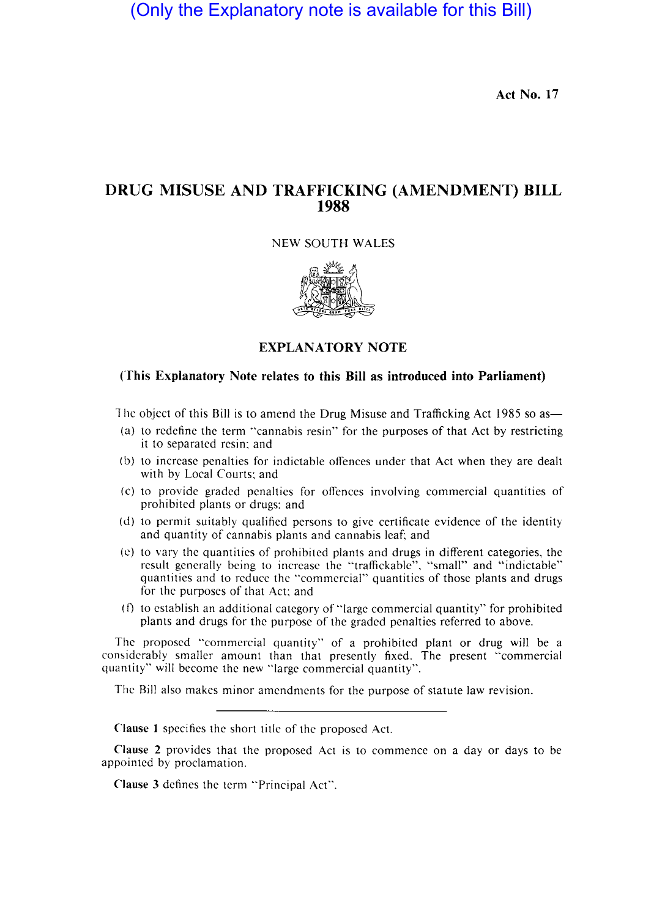(Only the Explanatory note is available for this Bill)

Act No. 17

# DRUG MISUSE AND TRAFFICKING (AMENDMENT) BILL 1988

NEW SOUTH WALES



# EXPLANATORY NOTE

## (This Explanatory Note relates to this Bill as introduced into Parliament)

The object of this Bill is to amend the Drug Misuse and Trafficking Act 1985 so as—

- (a) to redefine the term "cannabis resin" for the purposes of that Act by restricting it to separated resin; and
- (b) to increase penalties for indictable offences under that Act when they are dealt with by Local Courts; and
- (c) to provide graded penalties for offences involving commercial quantities of prohibited plants or drugs; and
- (d) to permit suitably qualified persons to give certificate evidence of the identity and quantity of cannabis plants and cannabis leaf; and
- (e) to vary the quantities of prohibited plants and drugs in different categories, the result generally being to increase the "traffickable", "small" and "indictable" quantities and to reduce the "commercial" quantities of those plants and drugs for the purposes of that Act; and
- (f) to establish an additional category of "large commercial quantity" for prohibited plants and drugs for the purpose of the graded penalties referred to above.

The proposed "commercial quantity" of a prohibited plant or drug will be a considerably smaller amount than that presently fixed. The present "commercial quantity" will become the new "large commercial quantity".

The Bill also makes minor amendments for the purpose of statute law revision.

Clause I specifics the short title of the proposed Act.

Clause 2 provides that the proposed Act is to commence on a day or days to be appointed by proclamation.

Clause 3 defines the term "Principal Act".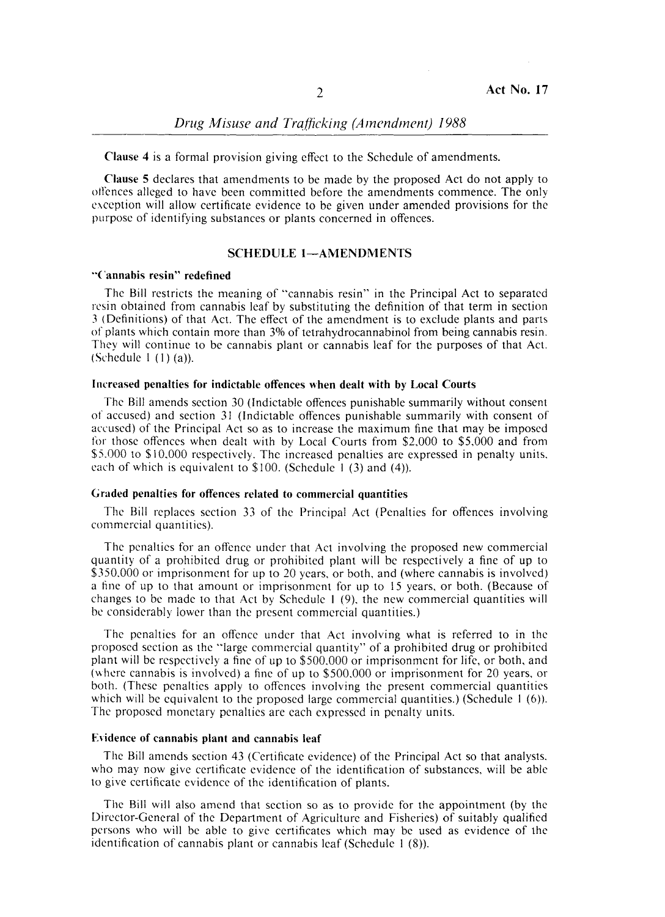*Drug Misuse and Trafficking (Amendment) 1988* 

Clause 4 is a formal provision giving effect to the Schedule of amendments.

Clause 5 declares that amendments to be made by the proposed Act do not apply to otlcnces alleged to have been committed before the amendments commence. The only exception will allow certificate evidence to be given under amended provisions for the purpose of identifying substances or plants concerned in offences.

### SCHEDULE 1-AMENDMENTS

### "Cannabis resin" redefined

The Bill restricts the meaning of "cannabis resin" in the Principal Act to separated resin obtained from cannabis leaf by substituting the definition of that term in section 3 (Definitions) of that Act. The effect of the amendment is 10 exclude plants and parb of plants which contain more than 3% of tetrahydrocannabinol from being cannabis resin. They will continue to be cannabis plant or cannabis leaf for the purposes of that Act. (Schedule I (1) (a)).

### Inrreased penalties for indictable offences when dealt with by Local Courts

The Bill amends section 30 (Indictable offences punishable summarily without consent of accused) and section 31 (Indictable offences punishable summarily with consent of accused) of the Principal Act so as to increase the maximum fine that may be imposed for those offences when dealt with by Local Courts from \$2,000 to \$5,000 and from \$5.000 to \$10.000 respectively. The increased penalties are expressed in penalty units. each of which is equivalent to \$100. (Schedule 1 (3) and (4)).

# Graded penalties for offences related to commercial quantities

The Bill replaces section 33 of the Principal Act (Penalties for offences involving commercial quantities).

The penalties for an offence under that Act involving the proposed new commercial quantity of a prohibited drug or prohibited plant will be respectively a fine of up to \$350,000 or imprisonment for up to 20 years, or both, and (where cannabis is involved) a fine of up to that amount or imprisonment for up to 15 years, or both. (Because of changes to be made to that Act by Schedule I (9). the new commercial quantities will be considerably lower than the present commercial quantities.)

The penalties for an offence under that Act involving what is referred to in the proposed section as the "large commercial quantity" of a prohibited drug or prohibited plant will be respectively a fine of up to \$500.000 or imprisonment for life, or both, and (where cannabis is involved) a fine of up to \$500.000 or imprisonment for 20 years, or both. (These penalties apply to offences involving the present commercial quantities which will be equivalent to the proposed large commercial quantities.) (Schedule 1 (6)). The proposed monetary penalties are each expressed in penalty units.

#### Evidence of cannabis plant and cannabis leaf

The Bill amends section 43 (Certificate evidence) of the Principal Act so that analysts. who may now give certificate evidence of the identification of substances, will be able to give certificate evidence of the identification of plants.

The Bill will also amend that section so as to provide for the appointment (by the Director-General of the Department of Agriculture and Fisheries) of suitably qualified persons who will be able to give certificates which may be used as evidence of the identification of cannabis plant or cannabis leaf (Schedule 1 (8)).